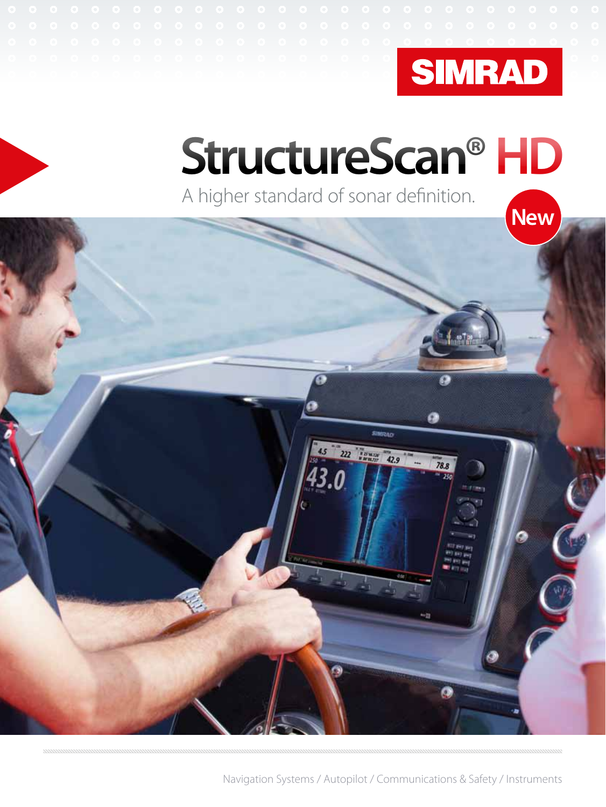

### **StructureScan® HD** A higher standard of sonar definition.



Navigation Systems / Autopilot / Communications & Safety / Instruments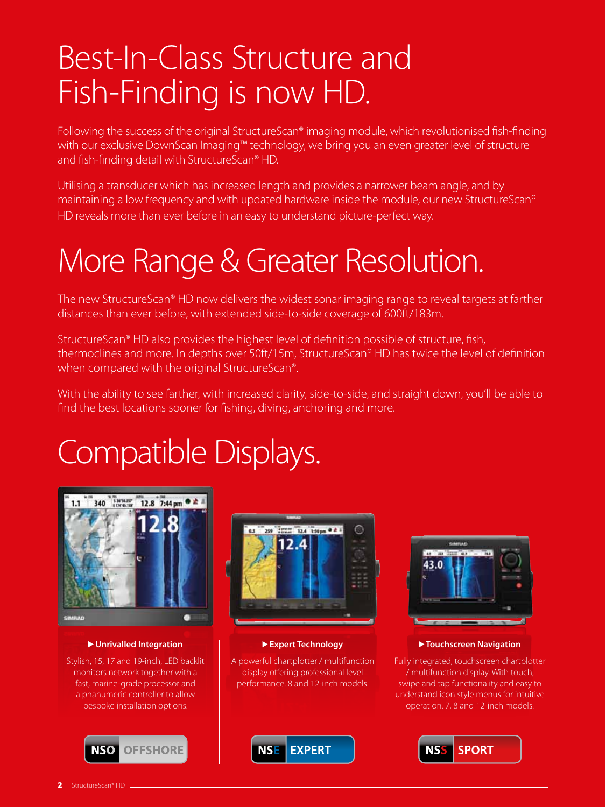### Best-In-Class Structure and Fish-Finding is now HD.

Following the success of the original StructureScan® imaging module, which revolutionised fish-finding with our exclusive DownScan Imaging™ technology, we bring you an even greater level of structure and fish-finding detail with StructureScan® HD.

Utilising a transducer which has increased length and provides a narrower beam angle, and by maintaining a low frequency and with updated hardware inside the module, our new StructureScan® HD reveals more than ever before in an easy to understand picture-perfect way.

### More Range & Greater Resolution.

The new StructureScan® HD now delivers the widest sonar imaging range to reveal targets at farther distances than ever before, with extended side-to-side coverage of 600ft/183m.

StructureScan® HD also provides the highest level of definition possible of structure, fish, thermoclines and more. In depths over 50ft/15m, StructureScan® HD has twice the level of definition when compared with the original StructureScan®.

With the ability to see farther, with increased clarity, side-to-side, and straight down, you'll be able to find the best locations sooner for fishing, diving, anchoring and more.

## Compatible Displays.



 **Unrivalled Integration**

Stylish, 15, 17 and 19-inch, LED backlit monitors network together with a fast, marine-grade processor and alphanumeric controller to allow bespoke installation options.





#### **Expert Technology**

A powerful chartplotter / multifunction display offering professional level performance. 8 and 12-inch models.





 **Touchscreen Navigation** 

Fully integrated, touchscreen chartplotter / multifunction display. With touch, swipe and tap functionality and easy to understand icon style menus for intuitive operation. 7, 8 and 12-inch models.

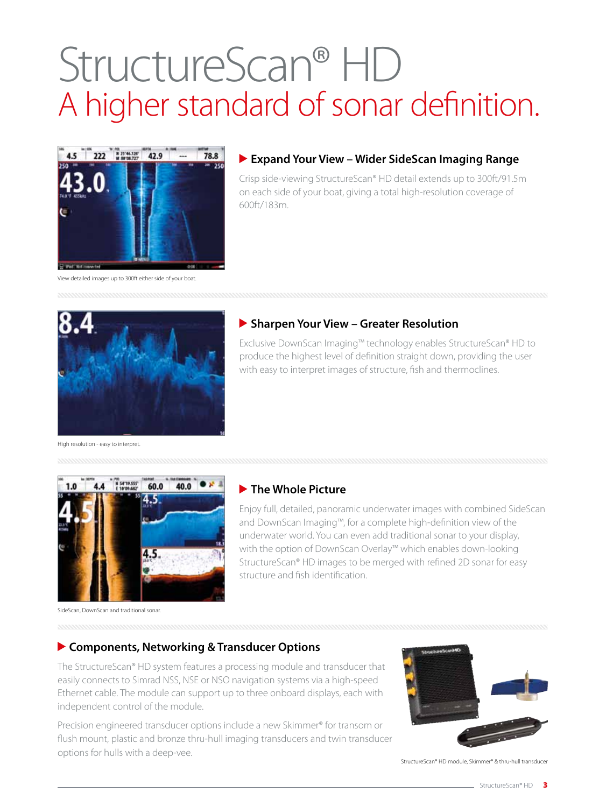# StructureScan® HD A higher standard of sonar definition.



#### **Expand Your View – Wider SideScan Imaging Range**

Crisp side-viewing StructureScan® HD detail extends up to 300ft/91.5m on each side of your boat, giving a total high-resolution coverage of 600ft/183m.

View detailed images up to 300ft either side of your boat.



#### **Sharpen Your View – Greater Resolution**

Exclusive DownScan Imaging™ technology enables StructureScan® HD to produce the highest level of definition straight down, providing the user with easy to interpret images of structure, fish and thermoclines.

High resolution - easy to interpret



#### **The Whole Picture**

Enjoy full, detailed, panoramic underwater images with combined SideScan and DownScan Imaging™, for a complete high-definition view of the underwater world. You can even add traditional sonar to your display, with the option of DownScan Overlay™ which enables down-looking StructureScan® HD images to be merged with refined 2D sonar for easy structure and fish identification.

SideScan, DownScan and traditional sonar.

#### **Components, Networking & Transducer Options**

The StructureScan® HD system features a processing module and transducer that easily connects to Simrad NSS, NSE or NSO navigation systems via a high-speed Ethernet cable. The module can support up to three onboard displays, each with independent control of the module.

Precision engineered transducer options include a new Skimmer® for transom or flush mount, plastic and bronze thru-hull imaging transducers and twin transducer options for hulls with a deep-vee.



StructureScan® HD module, Skimmer® & thru-hull transduce